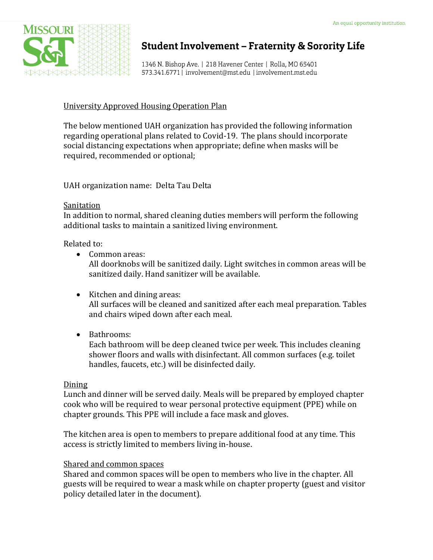

# **Student Involvement - Fraternity & Sorority Life**

1346 N. Bishop Ave. | 218 Havener Center | Rolla, MO 65401 573.341.6771 | involvement@mst.edu | involvement.mst.edu

### University Approved Housing Operation Plan

The below mentioned UAH organization has provided the following information regarding operational plans related to Covid-19. The plans should incorporate social distancing expectations when appropriate; define when masks will be required, recommended or optional;

UAH organization name: Delta Tau Delta

#### **Sanitation**

In addition to normal, shared cleaning duties members will perform the following additional tasks to maintain a sanitized living environment.

Related to:

- Common areas: All doorknobs will be sanitized daily. Light switches in common areas will be sanitized daily. Hand sanitizer will be available.
- Kitchen and dining areas: All surfaces will be cleaned and sanitized after each meal preparation. Tables and chairs wiped down after each meal.
- Bathrooms:

Each bathroom will be deep cleaned twice per week. This includes cleaning shower floors and walls with disinfectant. All common surfaces (e.g. toilet handles, faucets, etc.) will be disinfected daily.

### Dining

Lunch and dinner will be served daily. Meals will be prepared by employed chapter cook who will be required to wear personal protective equipment (PPE) while on chapter grounds. This PPE will include a face mask and gloves.

The kitchen area is open to members to prepare additional food at any time. This access is strictly limited to members living in-house.

### Shared and common spaces

Shared and common spaces will be open to members who live in the chapter. All guests will be required to wear a mask while on chapter property (guest and visitor policy detailed later in the document).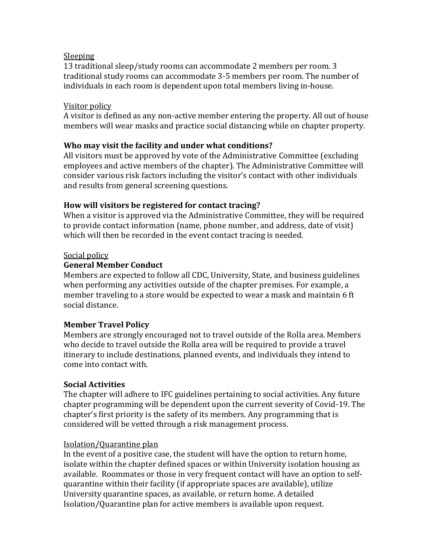### Sleeping

13 traditional sleep/study rooms can accommodate 2 members per room. 3 traditional study rooms can accommodate 3-5 members per room. The number of individuals in each room is dependent upon total members living in-house.

### Visitor policy

A visitor is defined as any non-active member entering the property. All out of house members will wear masks and practice social distancing while on chapter property.

## **Who may visit the facility and under what conditions?**

All visitors must be approved by vote of the Administrative Committee (excluding employees and active members of the chapter). The Administrative Committee will consider various risk factors including the visitor's contact with other individuals and results from general screening questions.

## **How will visitors be registered for contact tracing?**

When a visitor is approved via the Administrative Committee, they will be required to provide contact information (name, phone number, and address, date of visit) which will then be recorded in the event contact tracing is needed.

## Social policy

## **General Member Conduct**

Members are expected to follow all CDC, University, State, and business guidelines when performing any activities outside of the chapter premises. For example, a member traveling to a store would be expected to wear a mask and maintain 6 ft social distance.

## **Member Travel Policy**

Members are strongly encouraged not to travel outside of the Rolla area. Members who decide to travel outside the Rolla area will be required to provide a travel itinerary to include destinations, planned events, and individuals they intend to come into contact with.

### **Social Activities**

The chapter will adhere to IFC guidelines pertaining to social activities. Any future chapter programming will be dependent upon the current severity of Covid-19. The chapter's first priority is the safety of its members. Any programming that is considered will be vetted through a risk management process.

### Isolation/Quarantine plan

In the event of a positive case, the student will have the option to return home, isolate within the chapter defined spaces or within University isolation housing as available. Roommates or those in very frequent contact will have an option to selfquarantine within their facility (if appropriate spaces are available), utilize University quarantine spaces, as available, or return home. A detailed Isolation/Quarantine plan for active members is available upon request.